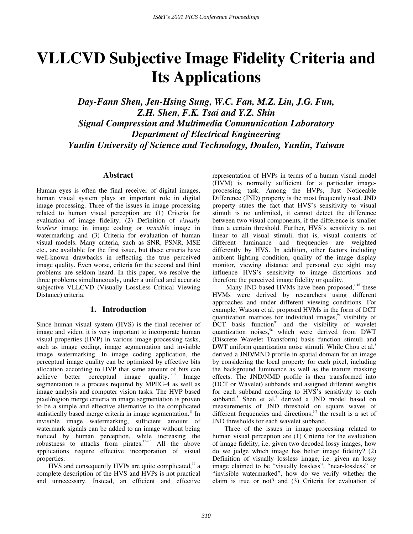# **VLLCVD Subjective Image Fidelity Criteria and Its Applications**

*Day-Fann Shen, Jen-Hsing Sung, W.C. Fan, M.Z. Lin, J.G. Fun, Z.H. Shen, F.K. Tsai and Y.Z. Shin Signal Compression and Multimedia Communication Laboratory Department of Electrical Engineering Yunlin University of Science and Technology, Douleo, Yunlin, Taiwan*

# **Abstract**

Human eyes is often the final receiver of digital images, human visual system plays an important role in digital image processing. Three of the issues in image processing related to human visual perception are (1) Criteria for evaluation of image fidelity, (2) Definition of *visually lossless* image in image coding or *invisible* image in watermarking and (3) Criteria for evaluation of human visual models. Many criteria, such as SNR, PSNR, MSE etc., are available for the first issue, but these criteria have well-known drawbacks in reflecting the true perceived image quality. Even worse, criteria for the second and third problems are seldom heard. In this paper, we resolve the three problems simultaneously, under a unified and accurate subjective VLLCVD (Visually LossLess Critical Viewing Distance) criteria.

# **1. Introduction**

Since human visual system (HVS) is the final receiver of image and video, it is very important to incorporate human visual properties (HVP) in various image-processing tasks, such as image coding, image segmentation and invisible image watermarking. In image coding application, the perceptual image quality can be optimized by effective bits allocation according to HVP that same amount of bits can achieve better perceptual image quality. $1-10$  Image segmentation is a process required by MPEG-4 as well as image analysis and computer vision tasks. The HVP based pixel/region merge criteria in image segmentation is proven to be a simple and effective alternative to the complicated statistically based merge criteria in image segmentation.<sup>11</sup> In invisible image watermarking, sufficient amount of watermark signals can be added to an image without being noticed by human perception, while increasing the robustness to attacks from pirates.<sup>12-16</sup> All the above applications require effective incorporation of visual properties.

HVS and consequently HVPs are quite complicated, $19$  a complete description of the HVS and HVPs is not practical and unnecessary. Instead, an efficient and effective representation of HVPs in terms of a human visual model (HVM) is normally sufficient for a particular imageprocessing task. Among the HVPs, Just Noticeable Difference (JND) property is the most frequently used. JND property states the fact that HVS's sensitivity to visual stimuli is no unlimited, it cannot detect the difference between two visual components, if the difference is smaller than a certain threshold. Further, HVS's sensitivity is not linear to all visual stimuli, that is, visual contents of different luminance and frequencies are weighted differently by HVS. In addition, other factors including ambient lighting condition, quality of the image display monitor, viewing distance and personal eye sight may influence HVS's sensitivity to image distortions and therefore the perceived image fidelity or quality.

Many JND based HVMs have been proposed,<sup>1-16</sup> these HVMs were derived by researchers using different approaches and under different viewing conditions. For example, Watson et al. proposed HVMs in the form of DCT quantization matrices for individual images,<sup>9b</sup> visibility of  $\overline{D}CT$  basis function<sup>9c</sup> and the visibility of wavelet quantization noises, $9a$  which were derived from DWT (Discrete Wavelet Transform) basis function stimuli and DWT uniform quantization noise stimuli. While Chou et al.<sup>8</sup> derived a JND/MND profile in spatial domain for an image by considering the local property for each pixel, including the background luminance as well as the texture masking effects. The JND/NMD profile is then transformed into (DCT or Wavelet) subbands and assigned different weights for each subband according to HVS's sensitivity to each subband.<sup>8</sup> Shen et al.<sup>6</sup> derived a JND model based on measurements of JND threshold on square waves of different frequencies and directions;  $6,7$  the result is a set of JND thresholds for each wavelet subband.

Three of the issues in image processing related to human visual perception are (1) Criteria for the evaluation of image fidelity, i.e. given two decoded lossy images, how do we judge which image has better image fidelity? (2) Definition of visually lossless image, i.e. given an lossy image claimed to be "visually lossless", "near-lossless" or "invisible watermarked", how do we verify whether the claim is true or not? and (3) Criteria for evaluation of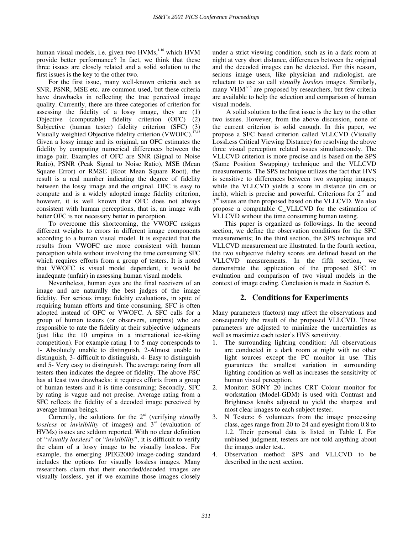human visual models, i.e. given two HVMs,<sup>1-16</sup> which HVM provide better performance? In fact, we think that these three issues are closely related and a solid solution to the first issues is the key to the other two.

For the first issue, many well-known criteria such as SNR, PSNR, MSE etc. are common used, but these criteria have drawbacks in reflecting the true perceived image quality. Currently, there are three categories of criterion for assessing the fidelity of a lossy image, they are (1) Objective (computable) fidelity criterion (OFC) (2) Subjective (human tester) fidelity criterion (SFC) (3) Visually weighted Objective fidelity criterion (VWOFC).<sup>17,18</sup> Given a lossy image and its original, an OFC estimates the fidelity by computing numerical differences between the image pair. Examples of OFC are SNR (Signal to Noise Ratio), PSNR (Peak Signal to Noise Ratio), MSE (Mean Square Error) or RMSE (Root Mean Square Root), the result is a real number indicating the degree of fidelity between the lossy image and the original. OFC is easy to compute and is a widely adopted image fidelity criterion, however, it is well known that OFC does not always consistent with human perceptions, that is, an image with better OFC is not necessary better in perception.

To overcome this shortcoming, the VWOFC assigns different weights to errors in different image components according to a human visual model. It is expected that the results from VWOFC are more consistent with human perception while without involving the time consuming SFC which requires efforts from a group of testers. It is noted that VWOFC is visual model dependent, it would be inadequate (unfair) in assessing human visual models.

Nevertheless, human eyes are the final receivers of an image and are naturally the best judges of the image fidelity. For serious image fidelity evaluations, in spite of requiring human efforts and time consuming, SFC is often adopted instead of OFC or VWOFC. A SFC calls for a group of human testers (or observers, umpires) who are responsible to rate the fidelity at their subjective judgments (just like the 10 umpires in a international ice-skiing competition). For example rating 1 to 5 may corresponds to 1- Absolutely unable to distinguish, 2-Almost unable to distinguish, 3- difficult to distinguish, 4- Easy to distinguish and 5- Very easy to distinguish. The average rating from all testers then indicates the degree of fidelity. The above FSC has at least two drawbacks: it requires efforts from a group of human testers and it is time consuming; Secondly, SFC by rating is vague and not precise. Average rating from a SFC reflects the fidelity of a decoded image perceived by average human beings.

Currently, the solutions for the 2<sup>nd</sup> (verifying *visually* lossless or *invisibility* of images) and 3<sup>rd</sup> (evaluation of HVMs) issues are seldom reported. With no clear definition of "*visually lossless*" or "*invisibility*", it is difficult to verify the claim of a lossy image to be visually lossless. For example, the emerging JPEG2000 image-coding standard includes the options for visually lossless images. Many researchers claim that their encoded/decoded images are visually lossless, yet if we examine those images closely under a strict viewing condition, such as in a dark room at night at very short distance, differences between the original and the decoded images can be detected. For this reason, serious image users, like physician and radiologist, are reluctant to use so call *visually lossless* images. Similarly, many  $VHM<sup>1-16</sup>$  are proposed by researchers, but few criteria are available to help the selection and comparison of human visual models.

A solid solution to the first issue is the key to the other two issues. However, from the above discussion, none of the current criterion is solid enough. In this paper, we propose a SFC based criterion called VLLCVD (Visually LossLess Critical Viewing Distance) for resolving the above three visual perception related issues simultaneously. The VLLCVD criterion is more precise and is based on the SPS (Same Position Swapping) technique and the VLLCVD measurements. The SPS technique utilizes the fact that HVS is sensitive to differences between two swapping images; while the VLLCVD yields a score in distance (in cm or inch), which is precise and powerful. Criterions for  $2<sup>nd</sup>$  and  $3<sup>rd</sup>$  issues are then proposed based on the VLLCVD. We also propose a computable C\_VLLCVD for the estimation of VLLCVD without the time consuming human testing.

This paper is organized as followings. In the second section, we define the observation conditions for the SFC measurements; In the third section, the SPS technique and VLLCVD measurement are illustrated. In the fourth section, the two subjective fidelity scores are defined based on the VLLCVD measurements. In the fifth section, we demonstrate the application of the proposed SFC in evaluation and comparison of two visual models in the context of image coding. Conclusion is made in Section 6.

# **2. Conditions for Experiments**

Many parameters (factors) may affect the observations and consequently the result of the proposed VLLCVD. These parameters are adjusted to minimize the uncertainties as well as maximize each tester's HVS sensitivity.

- 1. The surrounding lighting condition: All observations are conducted in a dark room at night with no other light sources except the PC monitor in use. This guarantees the smallest variation in surrounding lighting condition as well as increases the sensitivity of human visual perception.
- 2. Monitor: SONY 20 inches CRT Colour monitor for workstation (Model-GDM) is used with Contrast and Brightness knobs adjusted to yield the sharpest and most clear images to each subject tester.
- 3. N Testers: 6 volunteers from the image processing class, ages range from 20 to 24 and eyesight from 0.8 to 1.2. Their personal data is listed in Table I. For unbiased judgment, testers are not told anything about the images under test..
- 4. Observation method: SPS and VLLCVD to be described in the next section.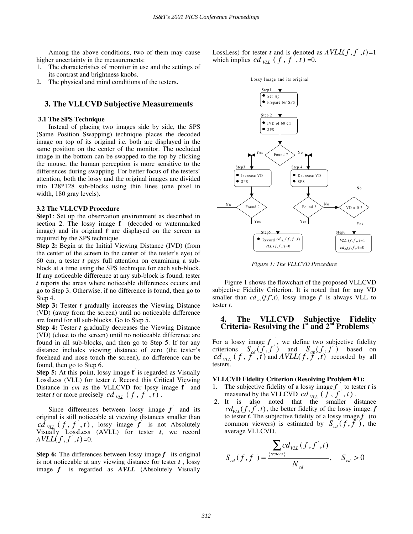Among the above conditions, two of them may cause higher uncertainty in the measurements:

- 1. The characteristics of monitor in use and the settings of its contrast and brightness knobs.
- 2. The physical and mind conditions of the testers**.**

## **3. The VLLCVD Subjective Measurements**

#### **3.1 The SPS Technique**

Instead of placing two images side by side, the SPS (Same Position Swapping) technique places the decoded image on top of its original i.e. both are displayed in the same position on the center of the monitor. The occluded image in the bottom can be swapped to the top by clicking the mouse, the human perception is more sensitive to the differences during swapping. For better focus of the testers' attention, both the lossy and the original images are divided into 128\*128 sub-blocks using thin lines (one pixel in width, 180 gray levels).

#### **3.2 The VLLCVD Procedure**

**Step1**: Set up the observation environment as described in section 2. The lossy image **f** (decoded or watermarked image) and its original **f** are displayed on the screen as required by the SPS technique.

**Step 2:** Begin at the Initial Viewing Distance (IVD) (from the center of the screen to the center of the tester's eye) of 60 cm, a tester *t* pays full attention on examining a subblock at a time using the SPS technique for each sub-block. If any noticeable difference at any sub-block is found, tester *t* reports the areas where noticeable differences occurs and go to Step 3. Otherwise, if no difference is found, then go to Step 4.

**Step 3:** Tester *t* gradually increases the Viewing Distance (VD) (away from the screen) until no noticeable difference are found for all sub-blocks. Go to Step 5.

**Step 4:** Tester *t* gradually decreases the Viewing Distance (VD) (close to the screen) until no noticeable difference are found in all sub-blocks, and then go to Step 5. If for any distance includes viewing distance of zero (the tester's forehead and nose touch the screen), no difference can be found, then go to Step 6.

**Step 5:** At this point, lossy image **f** is regarded as Visually LossLess (VLL) for tester *t*. Record this Critical Viewing Distance in *cm* as the VLLCVD for lossy image **f** and tester *t* or more precisely  $cd$ <sub>*VLL*</sub>  $(f, f, t)$ .

Since differences between lossy image *f* and its original is still noticeable at viewing distances smaller than ' $cd_{\text{VLL}}(f, f, f, t)$ , lossy image  $f$  is not Absolutely Visually LossLess (AVLL) for tester *t*, we record  $A$ *VLL* $(f, f, t)$ =0.

**Step 6:** The differences between lossy image *f* ' its original is not noticeable at any viewing distance for tester *t* , lossy image *f* ' is regarded as *AVLL* (Absolutely Visually

LossLess) for tester *t* and is denoted as  $A V L L(f, f, t) = 1$ which implies  $cd$   $_{VLL}$  ( $f$ ,  $f$ ,  $t$ ) =0.



*Figure 1: The VLLCVD Procedure*

Figure 1 shows the flowchart of the proposed VLLCVD subjective Fidelity Criterion. It is noted that for any VD smaller than  $cd_{\text{VL}}(f, f', t)$ , lossy image  $f'$  is always VLL to tester *t*.

## **4. The VLLCVD Subjective Fidelity Criteria- Resolving the**  $1^{\text{st}}$  **and**  $2^{\text{nd}}$  **Problems**

For a lossy image  $f$ , we define two subjective fidelity criterions  $S_{\text{gd}}(f, f)$  and  $S_{\text{dg}}(f, f)$  based on  $\left( f, f^{a}, f^{b}, t \right)$  and  $AVLL(f, f^{a}, t)$  recorded by all testers.

#### **VLLCVD Fidelity Criterion (Resolving Problem #1):**

- 1. The subjective fidelity of a lossy image  $f$  to tester  $t$  is measured by the VLLCVD  $cd$   $\chi_{LL}$  ( $\tilde{f}$ ,  $\tilde{f}$ ,  $f$ ).
- 2. It is also noted that the smaller distance  $cd_{VII}(f, f, t)$ , the better fidelity of the lossy image. *f* to tester *t*. The subjective fidelity of a lossy image  $f$  (to common viewers) is estimated by  $S_{cd}(f, \bar{f})$ , the average VLLCVD.

$$
S_{cd}(f, f^{\prime}) = \frac{\sum_{\text{testers}} cd_{\text{VLL}}(f, f^{\prime}, t)}{N_{cd}}, \quad S_{cd} > 0
$$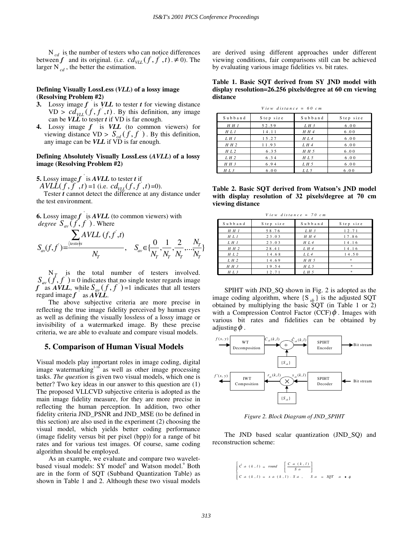N<sub>cd</sub> is the number of testers who can notice differences between *f* and its original. (i.e.  $cd_{VLL}(f, f^{\prime}, t) \neq 0$ ). The larger  $N_{cd}$ , the better the estimation.

## **Defining Visually LossLess (***VLL***) of a lossy image (Resolving Problem #2)**

- **3.** Lossy image *f* ' is *VLL* to tester *t* for viewing distance  $VD > cd_{VLL}(f, f^{\prime}, t)$ . By this definition, any image can be *VLL* to tester *t* if VD is far enough.
- **4.** Lossy image *f* ' is *VLL* (to common viewers) for viewing distance  $VD > S_{cd}(\hat{f}, \hat{f})$ . By this definition, any image can be *VLL* if VD is far enough.

## **Defining Absolutely Visually LossLess (***AVLL***) of a lossy image (Resolving Problem #2)**

**5.** Lossy image  $f'$  is  $AVLL$  to tester  $t$  if

 $AVLL(f, f', t) = 1$  (i.e.  $cd_{VLL}(f, f', t) = 0$ ).

Tester *t* cannot detect the difference at any distance under the test environment.

**6.** Lossy image 
$$
f
$$
 is *AVLL* (to common viewers) with *degree*  $S_{av}(f, f')$ . Where\n
$$
\sum_{av} AVLL (f, f', t)
$$
\n
$$
S_{av}(f, f') = \frac{\left\langle \frac{test \cdot b}{N_T} \right\rangle}{N_T}, \quad S_{av} \in \{\frac{0}{N_T}, \frac{1}{N_T}, \frac{2}{N_T}, \dots, \frac{N_T}{N_T}\}
$$

 $N_{\tau}$  is the total number of testers involved.  $S_{av}(f', f') = 0$  indicates that no single tester regards image *f* as *AVLL*, while  $S_{av}(f, f)$  =1 indicates that all testers regard image  $f$  as  $\overline{AVLL}$ .

The above subjective criteria are more precise in reflecting the true image fidelity perceived by human eyes as well as defining the visually lossless of a lossy image or invisibility of a watermarked image. By these precise criteria, we are able to evaluate and compare visual models.

## **5. Comparison of Human Visual Models**

Visual models play important roles in image coding, digital image watermarking $1-16$  as well as other image processing tasks. *The question* is given two visual models, which one is better? Two key ideas in our answer to this question are (1) The proposed VLLCVD subjective criteria is adopted as the main image fidelity measure, for they are more precise in reflecting the human perception. In addition, two other fidelity criteria JND\_PSNR and JND\_MSE (to be defined in this section) are also used in the experiment (2) choosing the visual model, which yields better coding performance (image fidelity versus bit per pixel (bpp)) for a range of bit rates and for various test images. Of course, same coding algorithm should be employed.

As an example, we evaluate and compare two waveletbased visual models: SY model<sup>6</sup> and Watson model.<sup>9</sup> Both are in the form of SQT (Subband Quantization Table) as shown in Table 1 and 2. Although these two visual models are derived using different approaches under different viewing conditions, fair comparisons still can be achieved by evaluating various image fidelities vs. bit rates.

#### **Table 1. Basic SQT derived from SY JND model with display resolution=26.256 pixels/degree at 60 cm viewing distance**

*V iew dista nce = 60 cm*

| Subband | Step size | Subband | Step size |
|---------|-----------|---------|-----------|
| H H 1   | 52.59     | L H 3   | 6.00      |
| H L 1   | 14.11     | H H 4   | 6.00      |
| L H 1   | 15.27     | H L 4   | 6.00      |
| H H 2   | 11.93     | L H 4   | 6.00      |
| H L 2   | 6.35      | H H 5   | 6.00      |
| LH2     | 6.34      | H L 5   | 6.00      |
| H H 3   | 6.94      | L H 5   | 6.00      |
| H L 3   | 6.00      | L L 5   | 6.00      |

**Table 2. Basic SQT derived from Watson's JND model with display resolution of 32 pixels/degree at 70 cm viewing distance**

| View distance = 70 cm |           |         |           |  |  |  |  |  |
|-----------------------|-----------|---------|-----------|--|--|--|--|--|
| Subband               | Step size | Subband | Step size |  |  |  |  |  |
| H H I                 | 58.76     | L H 3   | 12.71     |  |  |  |  |  |
| H L 1                 | 23.03     | H H 4   | 17.86     |  |  |  |  |  |
| L H I                 | 23.03     | H L 4   | 14.16     |  |  |  |  |  |
| H H 2                 | 28.41     | L H 4   | 14.16     |  |  |  |  |  |
| H L 2                 | 14.68     | LL4     | 14.50     |  |  |  |  |  |
| LH2                   | 14.69     | H H 5   | $\approx$ |  |  |  |  |  |
| H H 3                 | 19.54     | H L 5   | $\ast$    |  |  |  |  |  |
| $H L$ 3               | 12.71     | L H 5   | $\gg$     |  |  |  |  |  |

SPIHT with JND\_SQ shown in Fig. 2 is adopted as the image coding algorithm, where  $\{S_{sh}\}\$ is the adjusted SQT obtained by multiplying the basic SQT (in Table 1 or 2) with a Compression Control Factor  $(CCF)$  $\phi$ . Images with various bit rates and fidelities can be obtained by adjusting  $\phi$ .



*Figure 2. Block Diagram of JND\_SPIHT*

The JND based scalar quantization (JND\_SQ) and reconstruction scheme:

$$
\begin{cases}\n\hat{C} \cdot b \quad (k,l) = round \quad \left[ \frac{C \cdot b \quad (k,l)}{S \cdot b} \right] \\
C \cdot b \quad (k,l) = x \cdot b \quad (k,l) \cdot S \cdot b \quad , \qquad S \cdot b = SQT \quad b \quad \bullet \phi\n\end{cases}
$$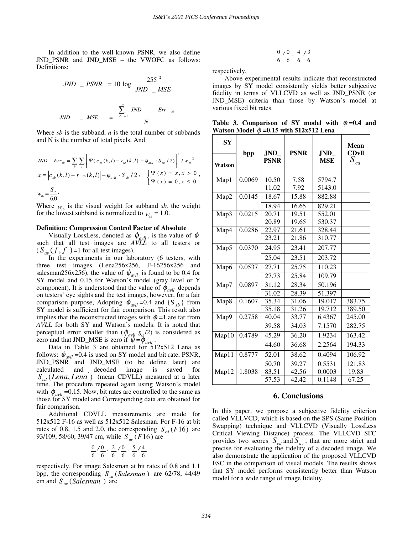In addition to the well-known PSNR, we also define JND\_PSNR and JND\_MSE – the VWOFC as follows: Definitions:

$$
JND - PSNR = 10 \log \frac{255^2}{JND - MSE}
$$
  

$$
JND - MSE = \frac{\sum_{sb=1}^{n} JND - Err_{sb}}{N}
$$

Where *sb* is the subband, *n* is the total number of subbands and N is the number of total pixels. And

$$
JND \t\t= Err_{sb} = \sum_{k} \sum_{l} \left[ \Psi(\Big| c_{sb}(k,l) - r_{sb}(k,l) \Big| - \phi_{avll} \cdot S_{sb} / 2) \right]^2 / w_{sb}^2
$$
  

$$
x = \Big| c_{sb}(k,l) - r_{sb}(k,l) \Big| - \phi_{avll} \cdot S_{sb} / 2, \quad \begin{cases} \Psi(x) = x, x > 0 \\ \Psi(x) = 0, x \le 0 \end{cases},
$$
  

$$
w_{sb} = \frac{S_{sb}}{60}.
$$

Where  $w_{v}$  is the visual weight for subband *sb*, the weight for the lowest subband is normalized to  $w_{ik} = 1.0$ .

#### **Definition: Compression Control Factor of Absolute**

Visually LossLess, denoted as  $\phi_{\text{avll}}$ , is the value of  $\phi$ such that all test images are *AVLL* to all testers or  $(S_{av}(f, f)) = 1$  for all test images).

In the experiments in our laboratory (6 testers, with three test images (Lena256x256, F-16256x256 and salesman256x256), the value of  $\phi_{\text{avll}}$  is found to be 0.4 for SY model and 0.15 for Watson's model (gray level or Y component). It is understood that the value of  $\phi_{\text{avll}}$  depends on testers' eye sights and the test images, however, for a fair comparison purpose, Adopting  $\phi_{\text{avll}} = 0.4$  and  $\{S_{sb}\}\$ from SY model is sufficient for fair comparison. This result also implies that the reconstructed images with  $\phi = 1$  are far from *AVLL* for both SY and Watson's models. It is noted that perceptual error smaller than  $(\phi_{\alpha\nu\mu} S_{\rm sh}/2)$  is considered as zero and that JND\_MSE is zero if  $\phi = \phi_{\text{avll}}$ .

Data in Table 3 are obtained for 512x512 Lena as follows:  $\phi_{avll}$  =0.4 is used on SY model and bit rate, PSNR, JND\_PSNR and JND\_MSE (to be define later) are calculated and decoded image is saved for  $S_{cd}(Lena, Lena^{'})$  (mean CDVLL) measured at a later time. The procedure repeated again using Watson's model with  $\phi_{\text{avll}}$  =0.15. Now, bit rates are controlled to the same as those for SY model and Corresponding data are obtained for fair comparison.

Additional CDVLL measurements are made for 512x512 F-16 as well as 512x512 Salesman. For F-16 at bit rates of 0.8, 1.5 and 2.0, the corresponding  $S_{cd}(F16)$  are 93/109, 58/60, 39/47 cm, while  $S_{av}$  (*F*16) are

$$
\frac{0}{6} \frac{1}{6}, \frac{0}{6}, \frac{2}{6} \frac{1}{6}, \frac{0}{6}, \frac{5}{6} \frac{1}{6}
$$

respectively. For image Salesman at bit rates of 0.8 and 1.1 bpp, the corresponding  $S_{cd}$  (*Salesman* ) are 62/78, 44/49 cm and  $S_{av}$  (*Salesman*) are

$$
\frac{0}{6} \big/ \frac{0}{6}, \frac{4}{6} \big/ \frac{3}{6}
$$

respectively.

Above experimental results indicate that reconstructed images by SY model consistently yields better subjective fidelity in terms of VLLCVD as well as JND\_PSNR (or JND\_MSE) criteria than those by Watson's model at various fixed bit rates.

**Table 3. Comparison of SY model with**  $\phi = 0.4$  **and Watson Model**  $\phi = 0.15$  with 512x512 Lena

| <b>SY</b> |        |                           |             |                    | Mean                      |
|-----------|--------|---------------------------|-------------|--------------------|---------------------------|
| Watson    | bpp    | <b>JND</b><br><b>PSNR</b> | <b>PSNR</b> | JND.<br><b>MSE</b> | <b>CDvll</b><br>$S_{c,d}$ |
| Map1      | 0.0069 | 10.50                     | 7.58        | 5794.7             |                           |
|           |        | 11.02                     | 7.92        | 5143.0             |                           |
| Map2      | 0.0145 | 18.67                     | 15.88       | 882.88             |                           |
|           |        | 18.94                     | 16.65       | 829.21             |                           |
| Map3      | 0.0215 | 20.71                     | 19.51       | 552.01             |                           |
|           |        | 20.89                     | 19.65       | 530.37             |                           |
| Map4      | 0.0286 | 22.97                     | 21.61       | 328.44             |                           |
|           |        | 23.21                     | 21.86       | 310.77             |                           |
| Map5      | 0.0370 | 24.95                     | 23.41       | 207.77             |                           |
|           |        | 25.04                     | 23.51       | 203.72             |                           |
| Map6      | 0.0537 | 27.71                     | 25.75       | 110.23             |                           |
|           |        | 27.73                     | 25.84       | 109.79             |                           |
| Map7      | 0.0897 | 31.12                     | 28.34       | 50.196             |                           |
|           |        | 31.02                     | 28.39       | 51.397             |                           |
| Map8      | 0.1607 | 35.34                     | 31.06       | 19.017             | 383.75                    |
|           |        | 35.18                     | 31.26       | 19.712             | 389.50                    |
| Map9      | 0.2758 | 40.04                     | 33.77       | 6.4367             | 245.00                    |
|           |        | 39.58                     | 34.03       | 7.1570             | 282.75                    |
| Map10     | 0.4789 | 45.29                     | 36.20       | 1.9234             | 163.42                    |
|           |        | 44.60                     | 36.68       | 2.2564             | 194.33                    |
| Map11     | 0.8777 | 52.01                     | 38.62       | 0.4094             | 106.92                    |
|           |        | 50.70                     | 39.27       | 0.5531             | 121.83                    |
| Map12     | 1.8038 | 83.51                     | 42.56       | 0.0003             | 19.83                     |
|           |        | 57.53                     | 42.42       | 0.1148             | 67.25                     |

## **6. Conclusions**

In this paper, we propose a subjective fidelity criterion called VLLVCD, which is based on the SPS (Same Position Swapping) technique and VLLCVD (Visually LossLess Critical Viewing Distance) process. The VLLCVD SFC provides two scores  $S_{cd}$  and  $S_{av}$ , that are more strict and precise for evaluating the fidelity of a decoded image. We also demonstrate the application of the proposed VLLCVD FSC in the comparison of visual models. The results shows that SY model performs consistently better than Watson model for a wide range of image fidelity.